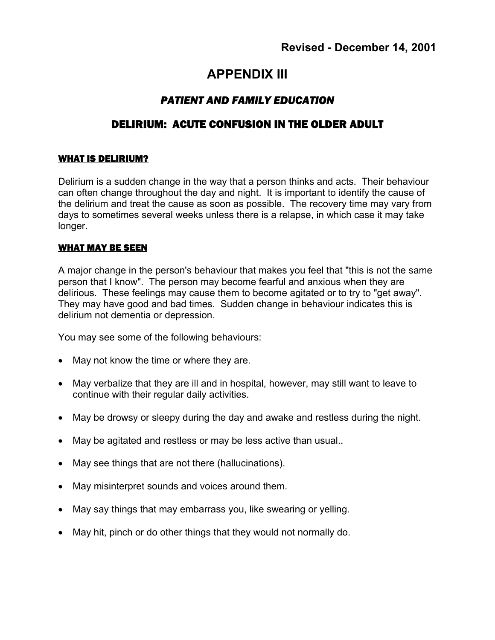# **APPENDIX III**

# *PATIENT AND FAMILY EDUCATION*

# DELIRIUM: ACUTE CONFUSION IN THE OLDER ADULT

#### WHAT IS DELIRIUM?

Delirium is a sudden change in the way that a person thinks and acts. Their behaviour can often change throughout the day and night. It is important to identify the cause of the delirium and treat the cause as soon as possible. The recovery time may vary from days to sometimes several weeks unless there is a relapse, in which case it may take longer.

#### WHAT MAY BE SEEN

A major change in the person's behaviour that makes you feel that "this is not the same person that I know". The person may become fearful and anxious when they are delirious. These feelings may cause them to become agitated or to try to "get away". They may have good and bad times. Sudden change in behaviour indicates this is delirium not dementia or depression.

You may see some of the following behaviours:

- May not know the time or where they are.
- May verbalize that they are ill and in hospital, however, may still want to leave to continue with their regular daily activities.
- May be drowsy or sleepy during the day and awake and restless during the night.
- May be agitated and restless or may be less active than usual..
- May see things that are not there (hallucinations).
- May misinterpret sounds and voices around them.
- May say things that may embarrass you, like swearing or yelling.
- May hit, pinch or do other things that they would not normally do.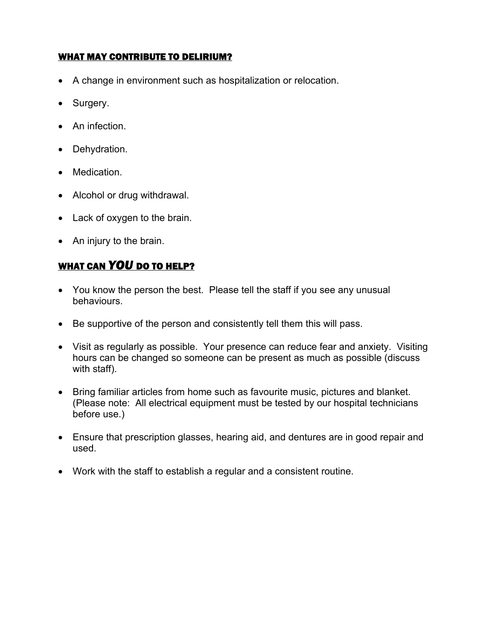### WHAT MAY CONTRIBUTE TO DELIRIUM?

- A change in environment such as hospitalization or relocation.
- Surgery.
- An infection.
- Dehydration.
- Medication.
- Alcohol or drug withdrawal.
- Lack of oxygen to the brain.
- An injury to the brain.

## WHAT CAN *YOU* DO TO HELP?

- You know the person the best. Please tell the staff if you see any unusual behaviours.
- Be supportive of the person and consistently tell them this will pass.
- Visit as regularly as possible. Your presence can reduce fear and anxiety. Visiting hours can be changed so someone can be present as much as possible (discuss with staff).
- Bring familiar articles from home such as favourite music, pictures and blanket. (Please note: All electrical equipment must be tested by our hospital technicians before use.)
- Ensure that prescription glasses, hearing aid, and dentures are in good repair and used.
- Work with the staff to establish a regular and a consistent routine.